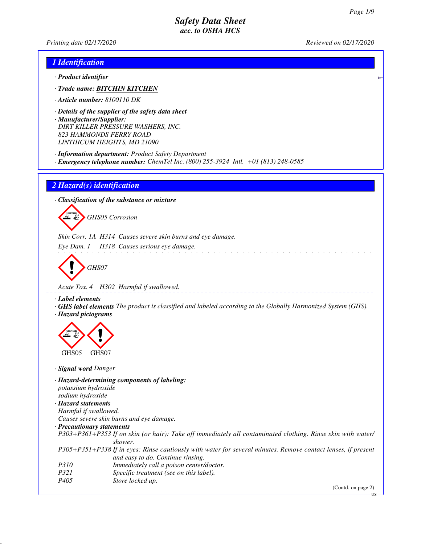US

*Printing date 02/17/2020 Reviewed on 02/17/2020*

## *1 Identification*

- *· Product identifier*
- *· Trade name: BITCHIN KITCHEN*
- *· Article number: 8100110 DK*
- *· Details of the supplier of the safety data sheet · Manufacturer/Supplier: DIRT KILLER PRESSURE WASHERS, INC. 823 HAMMONDS FERRY ROAD LINTHICUM HEIGHTS, MD 21090*
- *· Information department: Product Safety Department*
- *· Emergency telephone number: ChemTel Inc. (800) 255-3924 Intl. +01 (813) 248-0585*

### *2 Hazard(s) identification*

*· Classification of the substance or mixture*

d~*GHS05 Corrosion*

*Skin Corr. 1A H314 Causes severe skin burns and eye damage.*

*Eye Dam. 1 H318 Causes serious eye damage.*

d~*GHS07*

*Acute Tox. 4 H302 Harmful if swallowed.*

#### *· Label elements*

*· GHS label elements The product is classified and labeled according to the Globally Harmonized System (GHS). · Hazard pictograms*

and the state of the state of the state of the state of the state of the state of the state of the state of the



*· Signal word Danger*

*· Hazard-determining components of labeling: potassium hydroxide sodium hydroxide · Hazard statements Harmful if swallowed. Causes severe skin burns and eye damage. · Precautionary statements P303+P361+P353 If on skin (or hair): Take off immediately all contaminated clothing. Rinse skin with water/ shower. P305+P351+P338 If in eyes: Rinse cautiously with water for several minutes. Remove contact lenses, if present and easy to do. Continue rinsing. P310 Immediately call a poison center/doctor. P321 Specific treatment (see on this label). P405 Store locked up.* (Contd. on page 2)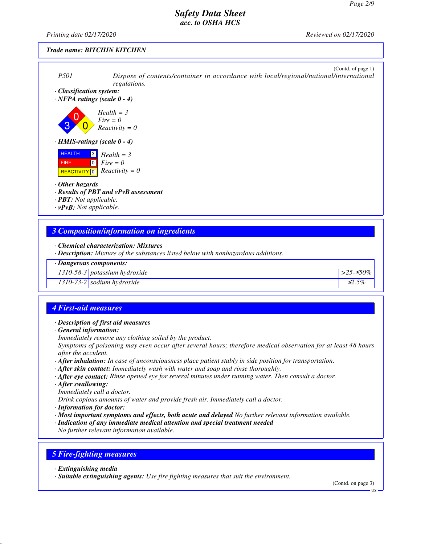*Printing date 02/17/2020 Reviewed on 02/17/2020*

### *Trade name: BITCHIN KITCHEN*



*· Description: Mixture of the substances listed below with nonhazardous additions.*

#### *· Dangerous components:*

*1310-58-3 potassium hydroxide >25-*≤*50%*

*1310-73-2 sodium hydroxide* ≤*2.5%*

## *4 First-aid measures*

#### *· Description of first aid measures*

*· General information:*

*Immediately remove any clothing soiled by the product.*

*Symptoms of poisoning may even occur after several hours; therefore medical observation for at least 48 hours after the accident.*

- *· After inhalation: In case of unconsciousness place patient stably in side position for transportation.*
- *· After skin contact: Immediately wash with water and soap and rinse thoroughly.*
- *· After eye contact: Rinse opened eye for several minutes under running water. Then consult a doctor.*
- *· After swallowing:*

*Immediately call a doctor.*

*Drink copious amounts of water and provide fresh air. Immediately call a doctor.*

- *· Information for doctor:*
- *· Most important symptoms and effects, both acute and delayed No further relevant information available.*
- *· Indication of any immediate medical attention and special treatment needed*

*No further relevant information available.*

### *5 Fire-fighting measures*

*· Extinguishing media*

*· Suitable extinguishing agents: Use fire fighting measures that suit the environment.*

(Contd. on page 3)

**HS**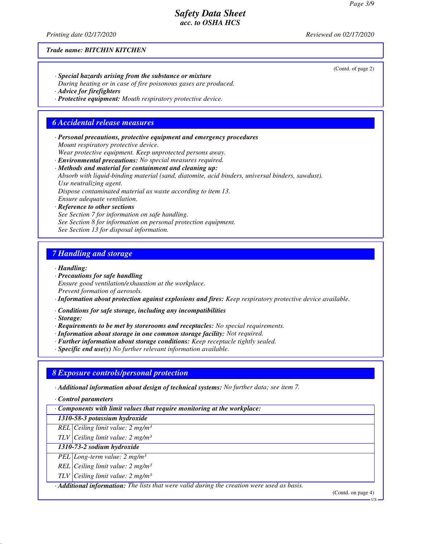*Printing date 02/17/2020 Reviewed on 02/17/2020*

### *Trade name: BITCHIN KITCHEN*

*· Special hazards arising from the substance or mixture During heating or in case of fire poisonous gases are produced.*

*· Advice for firefighters*

*· Protective equipment: Mouth respiratory protective device.*

## *6 Accidental release measures*

*· Personal precautions, protective equipment and emergency procedures Mount respiratory protective device.*

*Wear protective equipment. Keep unprotected persons away.*

*· Environmental precautions: No special measures required.*

## *· Methods and material for containment and cleaning up:*

*Absorb with liquid-binding material (sand, diatomite, acid binders, universal binders, sawdust). Use neutralizing agent.*

*Dispose contaminated material as waste according to item 13.*

*Ensure adequate ventilation.*

*· Reference to other sections See Section 7 for information on safe handling. See Section 8 for information on personal protection equipment. See Section 13 for disposal information.*

### *7 Handling and storage*

*· Handling:*

*· Precautions for safe handling Ensure good ventilation/exhaustion at the workplace. Prevent formation of aerosols.*

*· Information about protection against explosions and fires: Keep respiratory protective device available.*

*· Conditions for safe storage, including any incompatibilities*

*· Storage:*

- *· Requirements to be met by storerooms and receptacles: No special requirements.*
- *· Information about storage in one common storage facility: Not required.*
- *· Further information about storage conditions: Keep receptacle tightly sealed.*
- *· Specific end use(s) No further relevant information available.*

#### *8 Exposure controls/personal protection*

*· Additional information about design of technical systems: No further data; see item 7.*

*· Control parameters*

*· Components with limit values that require monitoring at the workplace:*

*1310-58-3 potassium hydroxide*

*REL Ceiling limit value: 2 mg/m³*

*TLV Ceiling limit value: 2 mg/m³*

## *1310-73-2 sodium hydroxide*

*PEL Long-term value: 2 mg/m³*

*REL Ceiling limit value: 2 mg/m³*

*TLV Ceiling limit value: 2 mg/m³*

*· Additional information: The lists that were valid during the creation were used as basis.*

(Contd. on page 4)

(Contd. of page 2)

**US**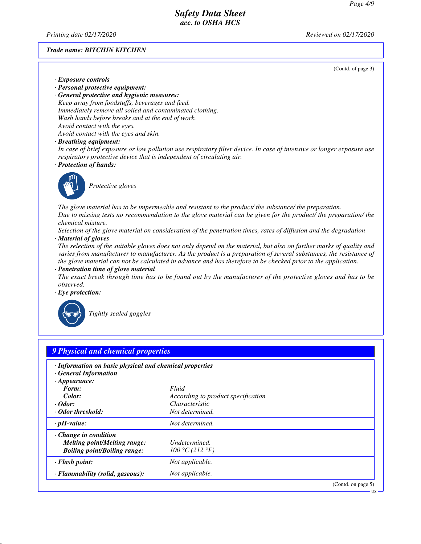*Printing date 02/17/2020 Reviewed on 02/17/2020*

*· Exposure controls*

### *Trade name: BITCHIN KITCHEN*

(Contd. of page 3)

US

*· Personal protective equipment: · General protective and hygienic measures: Keep away from foodstuffs, beverages and feed. Immediately remove all soiled and contaminated clothing. Wash hands before breaks and at the end of work. Avoid contact with the eyes.*

*Avoid contact with the eyes and skin.*

*· Breathing equipment:*

*In case of brief exposure or low pollution use respiratory filter device. In case of intensive or longer exposure use respiratory protective device that is independent of circulating air.*

*· Protection of hands:*



\_S*Protective gloves*

*The glove material has to be impermeable and resistant to the product/ the substance/ the preparation. Due to missing tests no recommendation to the glove material can be given for the product/ the preparation/ the chemical mixture.*

*Selection of the glove material on consideration of the penetration times, rates of diffusion and the degradation · Material of gloves*

*The selection of the suitable gloves does not only depend on the material, but also on further marks of quality and varies from manufacturer to manufacturer. As the product is a preparation of several substances, the resistance of the glove material can not be calculated in advance and has therefore to be checked prior to the application.*

*· Penetration time of glove material*

*The exact break through time has to be found out by the manufacturer of the protective gloves and has to be observed.*

*· Eye protection:*



\_R*Tightly sealed goggles*

| · Information on basic physical and chemical properties |                                    |  |
|---------------------------------------------------------|------------------------------------|--|
| <b>General Information</b>                              |                                    |  |
| $\cdot$ Appearance:                                     |                                    |  |
| Form:                                                   | Fluid                              |  |
| Color:                                                  | According to product specification |  |
| $\cdot$ Odor:                                           | Characteristic                     |  |
| Odor threshold:                                         | Not determined.                    |  |
| $\cdot$ pH-value:                                       | Not determined.                    |  |
| $\cdot$ Change in condition                             |                                    |  |
| <b>Melting point/Melting range:</b>                     | Undetermined.                      |  |
| <b>Boiling point/Boiling range:</b>                     | 100 °C (212 °F)                    |  |
| · Flash point:                                          | Not applicable.                    |  |
| · Flammability (solid, gaseous):                        | Not applicable.                    |  |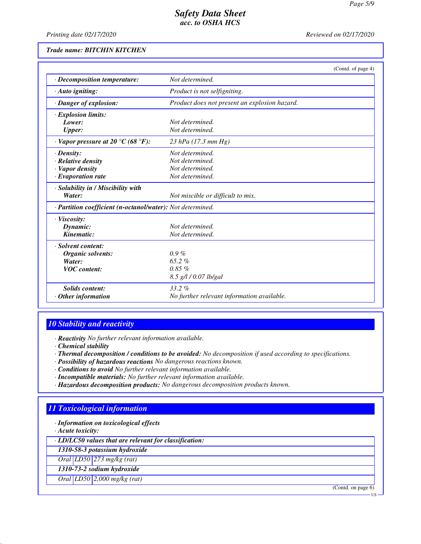*Printing date 02/17/2020 Reviewed on 02/17/2020*

#### *Trade name: BITCHIN KITCHEN*

|                                                            | (Contd. of page 4)                            |  |
|------------------------------------------------------------|-----------------------------------------------|--|
| · Decomposition temperature:                               | Not determined.                               |  |
| $\cdot$ Auto igniting:                                     | Product is not selfigniting.                  |  |
| · Danger of explosion:                                     | Product does not present an explosion hazard. |  |
| <b>Explosion limits:</b>                                   |                                               |  |
| Lower:                                                     | Not determined.                               |  |
| <b>Upper:</b>                                              | Not determined.                               |  |
| $\cdot$ Vapor pressure at 20 °C (68 °F):                   | 23 hPa $(17.3 \text{ mm Hg})$                 |  |
| $\cdot$ Density:                                           | Not determined.                               |  |
| $\cdot$ Relative density                                   | Not determined.                               |  |
| · Vapor density                                            | Not determined.                               |  |
| $\cdot$ Evaporation rate                                   | Not determined.                               |  |
| · Solubility in / Miscibility with                         |                                               |  |
| Water:                                                     | Not miscible or difficult to mix.             |  |
| · Partition coefficient (n-octanol/water): Not determined. |                                               |  |
| · Viscosity:                                               |                                               |  |
| Dynamic:                                                   | Not determined.                               |  |
| Kinematic:                                                 | Not determined.                               |  |
| · Solvent content:                                         |                                               |  |
| <b>Organic solvents:</b>                                   | $0.9\%$                                       |  |
| Water:                                                     | 65.2%                                         |  |
| <b>VOC</b> content:                                        | $0.85 \%$                                     |  |
|                                                            | 8.5 g/l / 0.07 lb/gal                         |  |
| <b>Solids</b> content:                                     | $33.2\%$                                      |  |
| Other information                                          | No further relevant information available.    |  |

## *10 Stability and reactivity*

*· Reactivity No further relevant information available.*

- *· Chemical stability*
- *· Thermal decomposition / conditions to be avoided: No decomposition if used according to specifications.*
- *· Possibility of hazardous reactions No dangerous reactions known.*
- *· Conditions to avoid No further relevant information available.*
- *· Incompatible materials: No further relevant information available.*
- *· Hazardous decomposition products: No dangerous decomposition products known.*

## *11 Toxicological information*

*· Information on toxicological effects*

*· Acute toxicity:*

*· LD/LC50 values that are relevant for classification:*

*1310-58-3 potassium hydroxide*

*Oral LD50 273 mg/kg (rat)*

*1310-73-2 sodium hydroxide*

*Oral LD50 2,000 mg/kg (rat)*

(Contd. on page 6)

US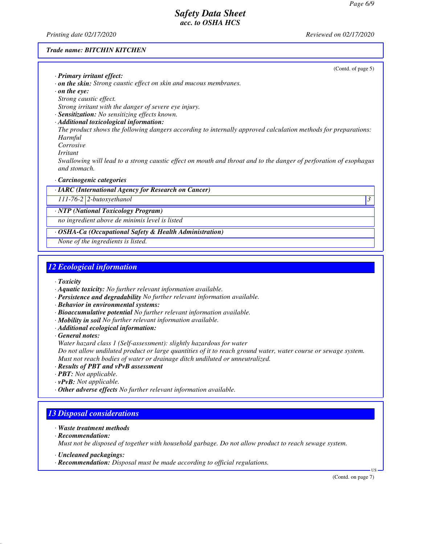*Printing date 02/17/2020 Reviewed on 02/17/2020*

(Contd. of page 5)

#### *Trade name: BITCHIN KITCHEN*

| · Primary irritant effect: |  |
|----------------------------|--|

- *· on the skin: Strong caustic effect on skin and mucous membranes.*
- *· on the eye:*
- *Strong caustic effect.*

*Strong irritant with the danger of severe eye injury.*

- *· Sensitization: No sensitizing effects known.*
- *· Additional toxicological information:*

*The product shows the following dangers according to internally approved calculation methods for preparations: Harmful*

- *Corrosive*
- *Irritant*

*Swallowing will lead to a strong caustic effect on mouth and throat and to the danger of perforation of esophagus and stomach.*

#### *· Carcinogenic categories*

*· IARC (International Agency for Research on Cancer)*

*111-76-2 2-butoxyethanol 3* 

*· NTP (National Toxicology Program)*

*no ingredient above de minimis level is listed*

*· OSHA-Ca (Occupational Safety & Health Administration)*

*None of the ingredients is listed.*

# *12 Ecological information*

*· Toxicity*

- *· Aquatic toxicity: No further relevant information available.*
- *· Persistence and degradability No further relevant information available.*
- *· Behavior in environmental systems:*
- *· Bioaccumulative potential No further relevant information available.*
- *· Mobility in soil No further relevant information available.*
- *· Additional ecological information:*

*· General notes:*

*Water hazard class 1 (Self-assessment): slightly hazardous for water*

*Do not allow undiluted product or large quantities of it to reach ground water, water course or sewage system. Must not reach bodies of water or drainage ditch undiluted or unneutralized.*

- *· Results of PBT and vPvB assessment*
- *· PBT: Not applicable.*
- *· vPvB: Not applicable.*
- *· Other adverse effects No further relevant information available.*

# *13 Disposal considerations*

- *· Waste treatment methods*
- *· Recommendation:*

*Must not be disposed of together with household garbage. Do not allow product to reach sewage system.*

- *· Uncleaned packagings:*
- *· Recommendation: Disposal must be made according to official regulations.*

(Contd. on page 7)

US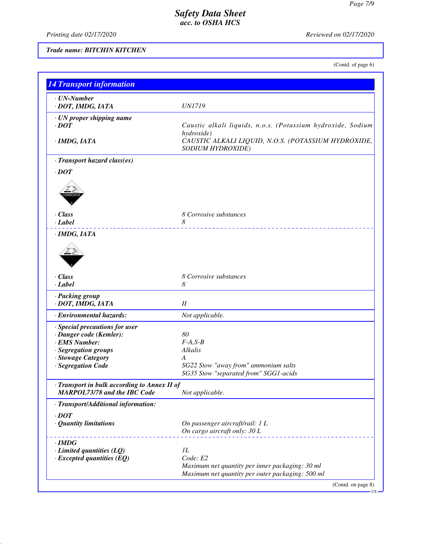*Printing date 02/17/2020 Reviewed on 02/17/2020*

*Trade name: BITCHIN KITCHEN*

(Contd. of page 6)

| $\cdot$ UN-Number                                  |                                                             |  |
|----------------------------------------------------|-------------------------------------------------------------|--|
| · DOT, IMDG, IATA                                  | <b>UN1719</b>                                               |  |
| $\cdot$ UN proper shipping name                    |                                                             |  |
| $\cdot$ DOT                                        | Caustic alkali liquids, n.o.s. (Potassium hydroxide, Sodium |  |
|                                                    | hydroxide)                                                  |  |
| · IMDG, IATA                                       | CAUSTIC ALKALI LIQUID, N.O.S. (POTASSIUM HYDROXIDE,         |  |
|                                                    | <b>SODIUM HYDROXIDE)</b>                                    |  |
| · Transport hazard class(es)                       |                                                             |  |
| $\cdot$ DOT                                        |                                                             |  |
|                                                    |                                                             |  |
|                                                    |                                                             |  |
|                                                    |                                                             |  |
| · Class                                            | 8 Corrosive substances                                      |  |
| · Label                                            | 8                                                           |  |
| ·IMDG, IATA                                        | <u>.</u>                                                    |  |
|                                                    |                                                             |  |
|                                                    |                                                             |  |
|                                                    |                                                             |  |
|                                                    |                                                             |  |
| · Class                                            | 8 Corrosive substances                                      |  |
| · Label                                            | 8                                                           |  |
| · Packing group                                    |                                                             |  |
| · DOT, IMDG, IATA                                  | I                                                           |  |
| · Environmental hazards:                           | Not applicable.                                             |  |
| · Special precautions for user                     |                                                             |  |
| · Danger code (Kemler):                            | 80                                                          |  |
| · EMS Number:                                      | $F-A, S-B$                                                  |  |
| · Segregation groups                               | Alkalis                                                     |  |
| · Stowage Category                                 | A                                                           |  |
| · Segregation Code                                 | SG22 Stow "away from" ammonium salts                        |  |
|                                                    | SG35 Stow "separated from" SGG1-acids                       |  |
| $\cdot$ Transport in bulk according to Annex II of |                                                             |  |
| <b>MARPOL73/78 and the IBC Code</b>                | Not applicable.                                             |  |
| · Transport/Additional information:                |                                                             |  |
| $\cdot$ DOT                                        |                                                             |  |
| · Quantity limitations                             | On passenger aircraft/rail: 1 L                             |  |
|                                                    | On cargo aircraft only: 30 L                                |  |
| · IMDG                                             |                                                             |  |
| $\cdot$ Limited quantities (LQ)                    | 1L                                                          |  |
| $\cdot$ Excepted quantities (EQ)                   | Code: E2                                                    |  |
|                                                    | Maximum net quantity per inner packaging: 30 ml             |  |
|                                                    | Maximum net quantity per outer packaging: 500 ml            |  |
|                                                    | (Contd. on page 8)                                          |  |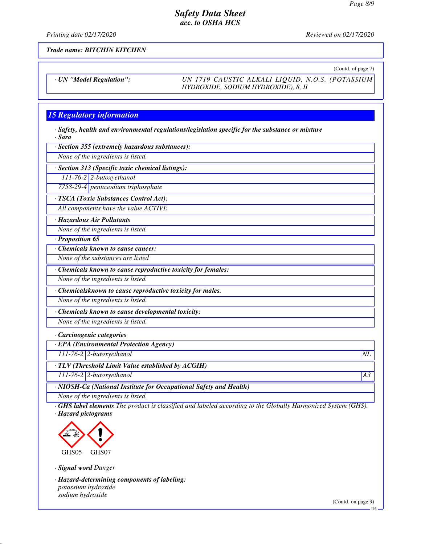*Printing date 02/17/2020 Reviewed on 02/17/2020*

*Trade name: BITCHIN KITCHEN*

(Contd. of page 7)

*· UN "Model Regulation": UN 1719 CAUSTIC ALKALI LIQUID, N.O.S. (POTASSIUM HYDROXIDE, SODIUM HYDROXIDE), 8, II*

# *15 Regulatory information*

*· Safety, health and environmental regulations/legislation specific for the substance or mixture · Sara*

*· Section 355 (extremely hazardous substances):*

*None of the ingredients is listed.*

*· Section 313 (Specific toxic chemical listings):*

*111-76-2 2-butoxyethanol 7758-29-4 pentasodium triphosphate*

*· TSCA (Toxic Substances Control Act):*

*All components have the value ACTIVE.*

*· Hazardous Air Pollutants*

*None of the ingredients is listed.*

*· Proposition 65*

*· Chemicals known to cause cancer:*

*None of the substances are listed*

*· Chemicals known to cause reproductive toxicity for females:*

*None of the ingredients is listed.*

*· Chemicalsknown to cause reproductive toxicity for males.*

*None of the ingredients is listed.*

*· Chemicals known to cause developmental toxicity:*

*None of the ingredients is listed.*

#### *· Carcinogenic categories*

*· EPA (Environmental Protection Agency)*

*111-76-2 2-butoxyethanol NL*

*· TLV (Threshold Limit Value established by ACGIH)*

*111-76-2 2-butoxyethanol A3*

*· NIOSH-Ca (National Institute for Occupational Safety and Health)*

*None of the ingredients is listed.*

*· GHS label elements The product is classified and labeled according to the Globally Harmonized System (GHS). · Hazard pictograms*



*· Signal word Danger*

*· Hazard-determining components of labeling: potassium hydroxide sodium hydroxide*

(Contd. on page 9)